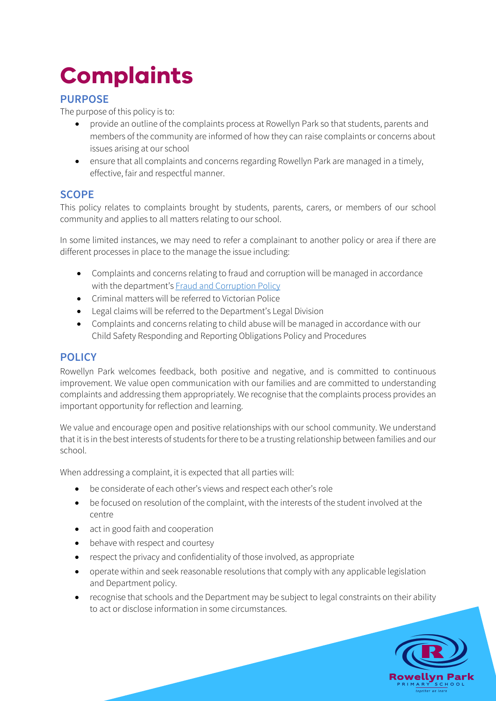# **Complaints**

# **PURPOSE**

The purpose of this policy is to:

- provide an outline of the complaints process at Rowellyn Park so that students, parents and members of the community are informed of how they can raise complaints or concerns about issues arising at our school
- ensure that all complaints and concerns regarding Rowellyn Park are managed in a timely, effective, fair and respectful manner.

# **SCOPE**

This policy relates to complaints brought by students, parents, carers, or members of our school community and applies to all matters relating to our school.

In some limited instances, we may need to refer a complainant to another policy or area if there are different processes in place to the manage the issue including:

- Complaints and concerns relating to fraud and corruption will be managed in accordance with the department's Fraud and Corruption Policy
- Criminal matters will be referred to Victorian Police
- Legal claims will be referred to the Department's Legal Division
- Complaints and concerns relating to child abuse will be managed in accordance with our Child Safety Responding and Reporting Obligations Policy and Procedures

# **POLICY**

Rowellyn Park welcomes feedback, both positive and negative, and is committed to continuous improvement. We value open communication with our families and are committed to understanding complaints and addressing them appropriately. We recognise that the complaints process provides an important opportunity for reflection and learning.

We value and encourage open and positive relationships with our school community. We understand that it is in the best interests of students for there to be a trusting relationship between families and our school.

When addressing a complaint, it is expected that all parties will:

- be considerate of each other's views and respect each other's role
- be focused on resolution of the complaint, with the interests of the student involved at the centre
- act in good faith and cooperation
- behave with respect and courtesy
- respect the privacy and confidentiality of those involved, as appropriate
- operate within and seek reasonable resolutions that comply with any applicable legislation and Department policy.
- recognise that schools and the Department may be subject to legal constraints on their ability to act or disclose information in some circumstances.

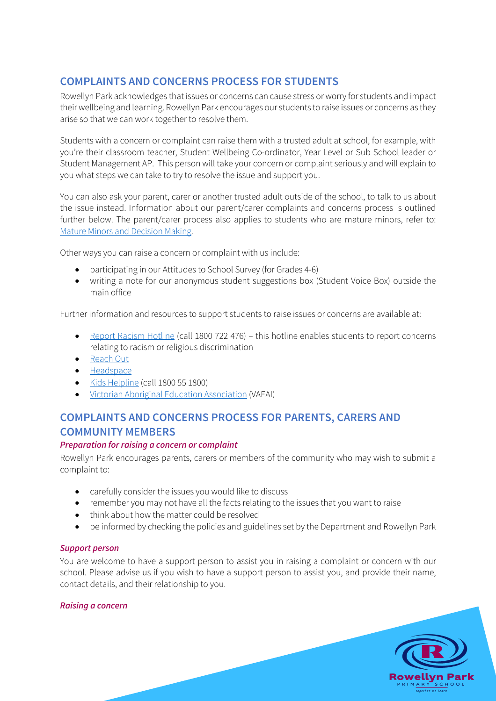# **COMPLAINTS AND CONCERNS PROCESS FOR STUDENTS**

Rowellyn Park acknowledges that issues or concerns can cause stress or worry for students and impact their wellbeing and learning. Rowellyn Park encourages our students to raise issues or concerns as they arise so that we can work together to resolve them.

Students with a concern or complaint can raise them with a trusted adult at school, for example, with you're their classroom teacher, Student Wellbeing Co-ordinator, Year Level or Sub School leader or Student Management AP. This person will take your concern or complaint seriously and will explain to you what steps we can take to try to resolve the issue and support you.

You can also ask your parent, carer or another trusted adult outside of the school, to talk to us about the issue instead. Information about our parent/carer complaints and concerns process is outlined further below. The parent/carer process also applies to students who are mature minors, refer to: Mature Minors and Decision Making.

Other ways you can raise a concern or complaint with us include:

- participating in our Attitudes to School Survey (for Grades 4-6)
- writing a note for our anonymous student suggestions box (Student Voice Box) outside the main office

Further information and resources to support students to raise issues or concerns are available at:

- Report Racism Hotline (call 1800 722 476) this hotline enables students to report concerns relating to racism or religious discrimination
- Reach Out
- Headspace
- Kids Helpline (call 1800 55 1800)
- Victorian Aboriginal Education Association (VAEAI)

# **COMPLAINTS AND CONCERNS PROCESS FOR PARENTS, CARERS AND COMMUNITY MEMBERS**

#### *Preparation for raising a concern or complaint*

Rowellyn Park encourages parents, carers or members of the community who may wish to submit a complaint to:

- carefully consider the issues you would like to discuss
- remember you may not have all the facts relating to the issues that you want to raise
- think about how the matter could be resolved
- be informed by checking the policies and guidelines set by the Department and Rowellyn Park

#### *Support person*

You are welcome to have a support person to assist you in raising a complaint or concern with our school. Please advise us if you wish to have a support person to assist you, and provide their name, contact details, and their relationship to you.

> **Rowellyn Park** together we lear

#### *Raising a concern*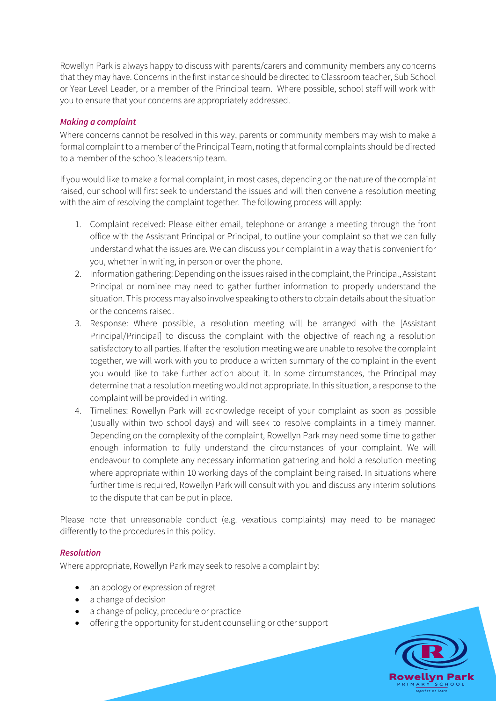Rowellyn Park is always happy to discuss with parents/carers and community members any concerns that they may have. Concerns in the first instance should be directed to Classroom teacher, Sub School or Year Level Leader, or a member of the Principal team. Where possible, school staff will work with you to ensure that your concerns are appropriately addressed.

#### *Making a complaint*

Where concerns cannot be resolved in this way, parents or community members may wish to make a formal complaint to a member of the Principal Team, noting that formal complaints should be directed to a member of the school's leadership team.

If you would like to make a formal complaint, in most cases, depending on the nature of the complaint raised, our school will first seek to understand the issues and will then convene a resolution meeting with the aim of resolving the complaint together. The following process will apply:

- 1. Complaint received: Please either email, telephone or arrange a meeting through the front office with the Assistant Principal or Principal, to outline your complaint so that we can fully understand what the issues are. We can discuss your complaint in a way that is convenient for you, whether in writing, in person or over the phone.
- 2. Information gathering: Depending on the issues raised in the complaint, the Principal, Assistant Principal or nominee may need to gather further information to properly understand the situation. This process may also involve speaking to others to obtain details about the situation or the concerns raised.
- 3. Response: Where possible, a resolution meeting will be arranged with the [Assistant Principal/Principal] to discuss the complaint with the objective of reaching a resolution satisfactory to all parties. If after the resolution meeting we are unable to resolve the complaint together, we will work with you to produce a written summary of the complaint in the event you would like to take further action about it. In some circumstances, the Principal may determine that a resolution meeting would not appropriate. In this situation, a response to the complaint will be provided in writing.
- 4. Timelines: Rowellyn Park will acknowledge receipt of your complaint as soon as possible (usually within two school days) and will seek to resolve complaints in a timely manner. Depending on the complexity of the complaint, Rowellyn Park may need some time to gather enough information to fully understand the circumstances of your complaint. We will endeavour to complete any necessary information gathering and hold a resolution meeting where appropriate within 10 working days of the complaint being raised. In situations where further time is required, Rowellyn Park will consult with you and discuss any interim solutions to the dispute that can be put in place.

Please note that unreasonable conduct (e.g. vexatious complaints) may need to be managed differently to the procedures in this policy.

#### *Resolution*

Where appropriate, Rowellyn Park may seek to resolve a complaint by:

- an apology or expression of regret
- a change of decision
- a change of policy, procedure or practice
- offering the opportunity for student counselling or other support

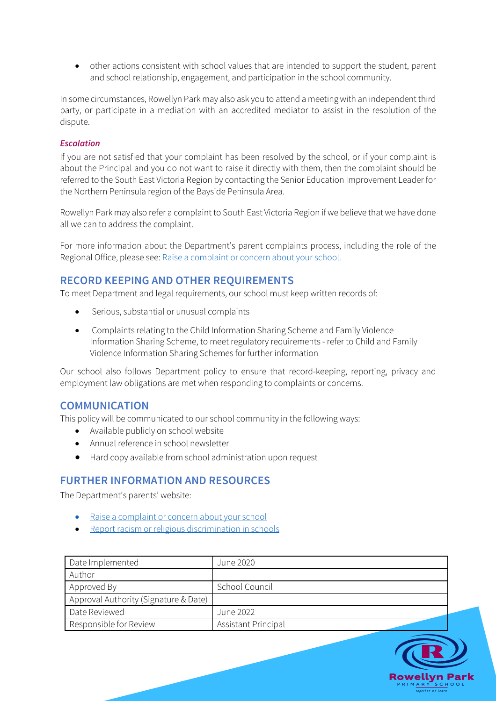• other actions consistent with school values that are intended to support the student, parent and school relationship, engagement, and participation in the school community.

In some circumstances, Rowellyn Park may also ask you to attend a meeting with an independent third party, or participate in a mediation with an accredited mediator to assist in the resolution of the dispute.

#### *Escalation*

If you are not satisfied that your complaint has been resolved by the school, or if your complaint is about the Principal and you do not want to raise it directly with them, then the complaint should be referred to the South East Victoria Region by contacting the Senior Education Improvement Leader for the Northern Peninsula region of the Bayside Peninsula Area.

Rowellyn Park may also refer a complaint to South East Victoria Region if we believe that we have done all we can to address the complaint.

For more information about the Department's parent complaints process, including the role of the Regional Office, please see: Raise a complaint or concern about your school.

## **RECORD KEEPING AND OTHER REQUIREMENTS**

To meet Department and legal requirements, our school must keep written records of:

- Serious, substantial or unusual complaints
- Complaints relating to the Child Information Sharing Scheme and Family Violence Information Sharing Scheme, to meet regulatory requirements - refer to Child and Family Violence Information Sharing Schemes for further information

Our school also follows Department policy to ensure that record-keeping, reporting, privacy and employment law obligations are met when responding to complaints or concerns.

#### **COMMUNICATION**

This policy will be communicated to our school community in the following ways:

- Available publicly on school website
- Annual reference in school newsletter
- Hard copy available from school administration upon request

## **FURTHER INFORMATION AND RESOURCES**

The Department's parents' website:

- Raise a complaint or concern about your school
- Report racism or religious discrimination in schools

| Date Implemented                      | June 2020           |
|---------------------------------------|---------------------|
| Author                                |                     |
| Approved By                           | School Council      |
| Approval Authority (Signature & Date) |                     |
| Date Reviewed                         | June 2022           |
| Responsible for Review                | Assistant Principal |

owellyn Par together we lear